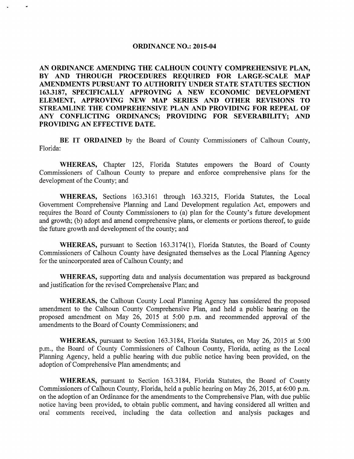#### **ORDINANCE NO.: 2015-04**

**AN ORDINANCE AMENDING THE CALHOUN COUNTY COMPREHENSIVE PLAN, BY AND THROUGH PROCEDURES REQUIRED FOR LARGE-SCALE MAP AMENDMENTS PURSUANT TO AUTHORITY UNDER STATE STATUTES SECTION 163.3187, SPECIFICALLY APPROVING A NEW ECONOMIC DEVELOPMENT ELEMENT, APPROVING NEW MAP SERIES AND OTHER REVISIONS TO STREAMLINE THE COMPREHENSIVE PLAN AND PROVIDING FOR REPEAL OF ANY CONFLICTING ORDINANCS; PROVIDING FOR SEVERABILITY; AND PROVIDING AN EFFECTIVE DATE.** 

**BE IT ORDAINED** by the Board of County Commissioners of Calhoun County, Florida:

WHEREAS, Chapter 125, Florida Statutes empowers the Board of County Commissioners of Calhoun County to prepare and enforce comprehensive plans for the development of the County; and

**WHEREAS,** Sections 163.3161 through 163.3215, Florida Statutes, the Local Government Comprehensive Planning and Land Development regulation Act, empowers and requires the Board of County Commissioners to (a) plan for the County's future development and growth; (b) adopt and amend comprehensive plans, or elements or portions thereof, to guide the future growth and development of the county; and

WHEREAS, pursuant to Section 163.3174(1), Florida Statutes, the Board of County Commissioners of Calhoun County have designated themselves as the Local Planning Agency for the unincorporated area of Calhoun County; and

**WHEREAS,** supporting data and analysis documentation was prepared as background and justification for the revised Comprehensive Plan; and

**WHEREAS,** the Calhoun County Local Planning Agency has considered the proposed amendment to the Calhoun County Comprehensive Plan, and held a public hearing on the proposed amendment on May 26, 2015 at 5:00 p.m. and recommended approval of the amendments to the Board of County Commissioners; and

**WHEREAS,** pursuant to Section 163.3184, Florida Statutes, on May 26, 2015 at 5:00 p.m., the Board of County Commissioners of Calhoun County, Florida, acting as the Local Planning Agency, held a public hearing with due public notice having been provided, on the adoption of Comprehensive Plan amendments; and

**WHEREAS,** pursuant to Section 163.3184, Florida Statutes, the Board of County Commissioners of Calhoun County, Florida, held a public hearing on May 26, 2015, at 6:00 p.m. on the adoption of an Ordinance for the amendments to the Comprehensive Plan, with due public notice having been provided, to obtain public comment, and having considered all written and oral comments received, including the data collection and analysis packages and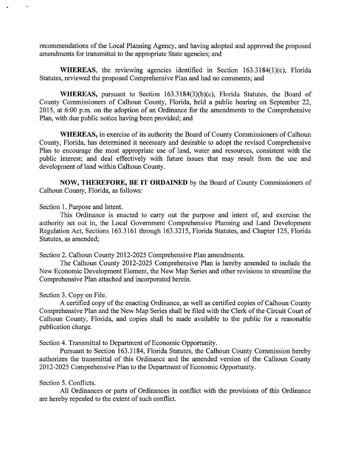recommendations of the Local Planning Agency, and having adopted and approved the proposed amendments for transmittal to the appropriate State agencies; and

**WHEREAS**, the reviewing agencies identified in Section 163.3184(1)(c), Florida Statutes, reviewed the proposed Comprehensive Plan and had no comments; and

**WHEREAS,** pursuant to Section 163.3184(3)(b)(c), Florida Statutes, the Board of County Commissioners of Calhoun County, Florida, held a public hearing on September 22, 2015, at  $6:00$  p.m. on the adoption of an Ordinance for the amendments to the Comprehensive Plan, with due public notice having been provided; and

**WHEREAS,** in exercise of its authority the Board of County Commissioners of Calhoun County, Florida, has determined it necessary and desirable to adopt the revised Comprehensive Plan to encourage the most appropriate use of land, water and resources, consistent with the public interest; and deal effectively with future issues that may result from the use and development of land within Calhoun County.

**NOW, THEREFORE, BE IT ORDAINED** by the Board of County Commissioners of Calhoun County, Florida, as follows:

Section 1. Purpose and Intent.

This Ordinance is enacted to carry out the purpose and intent of, and exercise the authority set out in, the Local Government Comprehensive Planning and Land Development Regulation Act, Sections 163.3161 through 163.3215, Florida Statutes, and Chapter 125, Florida Statutes, as amended;

Section 2. Calhoun County 2012-2025 Comprehensive Plan amendments.

The Calhoun County 2012-2025 Comprehensive Plan is hereby amended to include the New Economic Development Element, the New Map Series and other revisions to streamline the Comprehensive Plan attached and incorporated herein.

Section 3. Copy on File.

A certified copy of the enacting Ordinance, as well as certified copies of Calhoun County Comprehensive Plan and the New Map Series shall be filed with the Clerk of the Circuit Court of Calhoun County, Florida, and copies shall be made available to the public for a reasonable publication charge.

Section 4. Transmittal to Department of Economic Opportunity.

Pursuant to Section 163.3184, Florida Statutes, the Calhoun County Commission hereby authorizes the transmittal of this Ordinance and the amended version of the Calhoun County 2012-2025 Comprehensive Plan to the Department of Economic Opportunity.

### Section 5. Conflicts.

All Ordinances or parts of Ordinances in conflict with the provisions of this Ordinance are hereby repealed to the extent of such conflict.